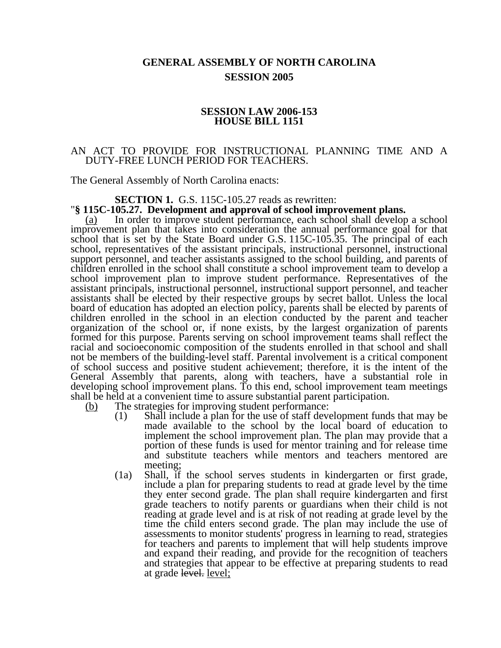# **GENERAL ASSEMBLY OF NORTH CAROLINA SESSION 2005**

## **SESSION LAW 2006-153 HOUSE BILL 1151**

## AN ACT TO PROVIDE FOR INSTRUCTIONAL PLANNING TIME AND A DUTY-FREE LUNCH PERIOD FOR TEACHERS.

The General Assembly of North Carolina enacts:

# **SECTION 1.** G.S. 115C-105.27 reads as rewritten: "**§ 115C-105.27. Development and approval of school improvement plans.**

(a) In order to improve student performance, each school shall develop a school improvement plan that takes into consideration the annual performance goal for that school that is set by the State Board under G.S.  $115C-105.35$ . The principal of each school, representatives of the assistant principals, instructional personnel, instructional support personnel, and teacher assistants assigned to the school building, and parents of children enrolled in the school shall constitute a school improvement team to develop a school improvement plan to improve student performance. Representatives of the assistant principals, instructional personnel, instructional support personnel, and teacher assistants shall be elected by their respective groups by secret ballot. Unless the local board of education has adopted an election policy, parents shall be elected by parents of children enrolled in the school in an election conducted by the parent and teacher organization of the school or, if none exists, by the largest organization of parents formed for this purpose. Parents serving on school improvement teams shall reflect the racial and socioeconomic composition of the students enrolled in that school and shall not be members of the building-level staff. Parental involvement is a critical component of school success and positive student achievement; therefore, it is the intent of the General Assembly that parents, along with teachers, have a substantial role in developing school improvement plans. To this end, school improvement team meetings shall be held at a convenient time to assure substantial parent participation.

(b) The strategies for improving student performance:

- (1) Shall include a plan for the use of staff development funds that may be made available to the school by the local board of education to implement the school improvement plan. The plan may provide that a portion of these funds is used for mentor training and for release time and substitute teachers while mentors and teachers mentored are meeting;
- (1a) Shall, if the school serves students in kindergarten or first grade, include a plan for preparing students to read at grade level by the time they enter second grade. The plan shall require kindergarten and first grade teachers to notify parents or guardians when their child is not reading at grade level and is at risk of not reading at grade level by the time the child enters second grade. The plan may include the use of assessments to monitor students' progress in learning to read, strategies for teachers and parents to implement that will help students improve and expand their reading, and provide for the recognition of teachers and strategies that appear to be effective at preparing students to read at grade level. level;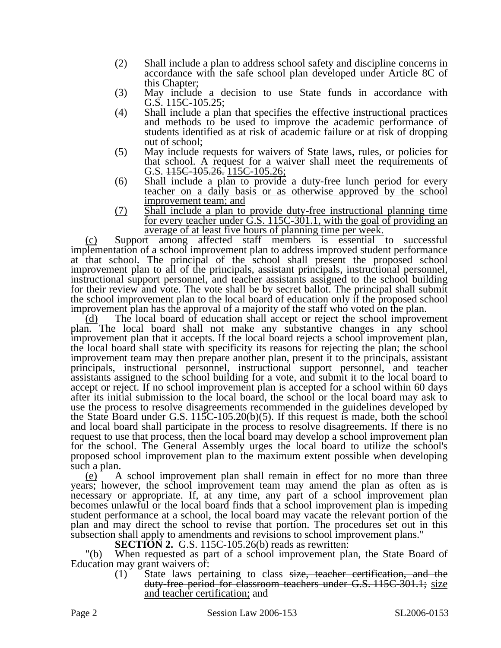- (2) Shall include a plan to address school safety and discipline concerns in accordance with the safe school plan developed under Article 8C of this Chapter;
- (3) May include a decision to use State funds in accordance with G.S. 115C-105.25;
- (4) Shall include a plan that specifies the effective instructional practices and methods to be used to improve the academic performance of students identified as at risk of academic failure or at risk of dropping out of school;
- (5) May include requests for waivers of State laws, rules, or policies for that school. A request for a waiver shall meet the requirements of G.S.  $115C-105.26$ .  $115C-105.26$ ;
- (6) Shall include a plan to provide a duty-free lunch period for every teacher on a daily basis or as otherwise approved by the school improvement team; and
- (7) Shall include a plan to provide duty-free instructional planning time for every teacher under  $\dot{G}$ .S. 115C-301.1, with the goal of providing an average of at least five hours of planning time per week.

(c) Support among affected staff members is essential to successful implementation of a school improvement plan to address improved student performance at that school. The principal of the school shall present the proposed school improvement plan to all of the principals, assistant principals, instructional personnel, instructional support personnel, and teacher assistants assigned to the school building for their review and vote. The vote shall be by secret ballot. The principal shall submit the school improvement plan to the local board of education only if the proposed school improvement plan has the approval of a majority of the staff who voted on the plan.

(d) The local board of education shall accept or reject the school improvement plan. The local board shall not make any substantive changes in any school improvement plan that it accepts. If the local board rejects a school improvement plan, the local board shall state with specificity its reasons for rejecting the plan; the school improvement team may then prepare another plan, present it to the principals, assistant principals, instructional personnel, instructional support personnel, and teacher assistants assigned to the school building for a vote, and submit it to the local board to accept or reject. If no school improvement plan is accepted for a school within 60 days after its initial submission to the local board, the school or the local board may ask to use the process to resolve disagreements recommended in the guidelines developed by the State Board under G.S. 115C-105.20(b)(5). If this request is made, both the school and local board shall participate in the process to resolve disagreements. If there is no request to use that process, then the local board may develop a school improvement plan for the school. The General Assembly urges the local board to utilize the school's proposed school improvement plan to the maximum extent possible when developing such a plan.

(e) A school improvement plan shall remain in effect for no more than three years; however, the school improvement team may amend the plan as often as is necessary or appropriate. If, at any time, any part of a school improvement plan becomes unlawful or the local board finds that a school improvement plan is impeding student performance at a school, the local board may vacate the relevant portion of the plan and may direct the school to revise that portion. The procedures set out in this subsection shall apply to amendments and revisions to school improvement plans."

**SECTION 2.** G.S. 115C-105.26(b) reads as rewritten:

"(b) When requested as part of a school improvement plan, the State Board of Education may grant waivers of:

(1) State laws pertaining to class size, teacher certification, and the duty-free period for classroom teachers under G.S. 115C-301.1; size and teacher certification; and